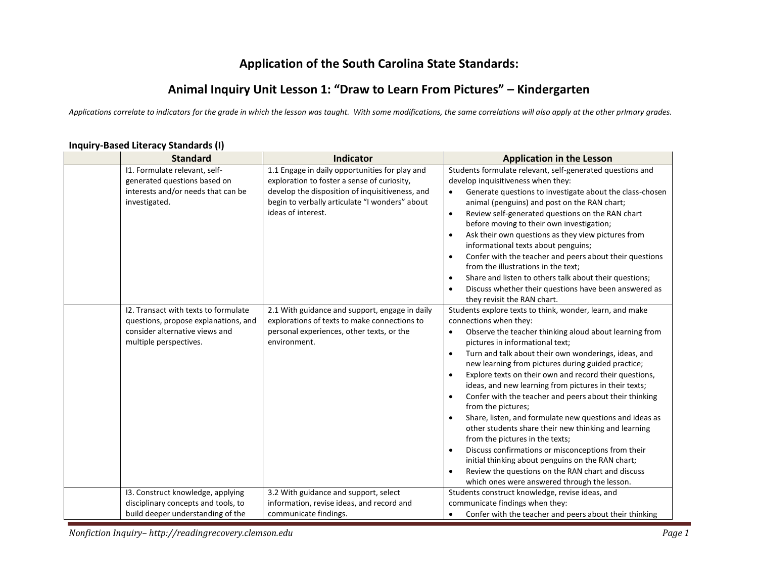# **Application of the South Carolina State Standards:**

## **Animal Inquiry Unit Lesson 1: "Draw to Learn From Pictures" – Kindergarten**

*Applications correlate to indicators for the grade in which the lesson was taught. With some modifications, the same correlations will also apply at the other prImary grades.* 

| <b>Standard</b>                                                                                                                          | Indicator                                                                                                                                                                                                                | <b>Application in the Lesson</b>                                                                                                                                                                                                                                                                                                                                                                                                                                                                                                                                                                                                                                                                                                                                                                                                                                                                              |
|------------------------------------------------------------------------------------------------------------------------------------------|--------------------------------------------------------------------------------------------------------------------------------------------------------------------------------------------------------------------------|---------------------------------------------------------------------------------------------------------------------------------------------------------------------------------------------------------------------------------------------------------------------------------------------------------------------------------------------------------------------------------------------------------------------------------------------------------------------------------------------------------------------------------------------------------------------------------------------------------------------------------------------------------------------------------------------------------------------------------------------------------------------------------------------------------------------------------------------------------------------------------------------------------------|
| 11. Formulate relevant, self-<br>generated questions based on<br>interests and/or needs that can be<br>investigated.                     | 1.1 Engage in daily opportunities for play and<br>exploration to foster a sense of curiosity,<br>develop the disposition of inquisitiveness, and<br>begin to verbally articulate "I wonders" about<br>ideas of interest. | Students formulate relevant, self-generated questions and<br>develop inquisitiveness when they:<br>Generate questions to investigate about the class-chosen<br>$\bullet$<br>animal (penguins) and post on the RAN chart;<br>Review self-generated questions on the RAN chart<br>$\bullet$<br>before moving to their own investigation;<br>Ask their own questions as they view pictures from<br>informational texts about penguins;<br>Confer with the teacher and peers about their questions<br>$\bullet$<br>from the illustrations in the text:<br>Share and listen to others talk about their questions;<br>$\bullet$<br>Discuss whether their questions have been answered as<br>they revisit the RAN chart.                                                                                                                                                                                             |
| 12. Transact with texts to formulate<br>questions, propose explanations, and<br>consider alternative views and<br>multiple perspectives. | 2.1 With guidance and support, engage in daily<br>explorations of texts to make connections to<br>personal experiences, other texts, or the<br>environment.                                                              | Students explore texts to think, wonder, learn, and make<br>connections when they:<br>Observe the teacher thinking aloud about learning from<br>$\bullet$<br>pictures in informational text;<br>Turn and talk about their own wonderings, ideas, and<br>new learning from pictures during guided practice;<br>Explore texts on their own and record their questions,<br>ideas, and new learning from pictures in their texts;<br>Confer with the teacher and peers about their thinking<br>$\bullet$<br>from the pictures;<br>Share, listen, and formulate new questions and ideas as<br>other students share their new thinking and learning<br>from the pictures in the texts;<br>Discuss confirmations or misconceptions from their<br>$\bullet$<br>initial thinking about penguins on the RAN chart;<br>Review the questions on the RAN chart and discuss<br>which ones were answered through the lesson. |
| 13. Construct knowledge, applying<br>disciplinary concepts and tools, to<br>build deeper understanding of the                            | 3.2 With guidance and support, select<br>information, revise ideas, and record and<br>communicate findings.                                                                                                              | Students construct knowledge, revise ideas, and<br>communicate findings when they:<br>Confer with the teacher and peers about their thinking<br>$\bullet$                                                                                                                                                                                                                                                                                                                                                                                                                                                                                                                                                                                                                                                                                                                                                     |

#### **Inquiry-Based Literacy Standards (I)**

*Nonfiction Inquiry– http://readingrecovery.clemson.edu Page 1*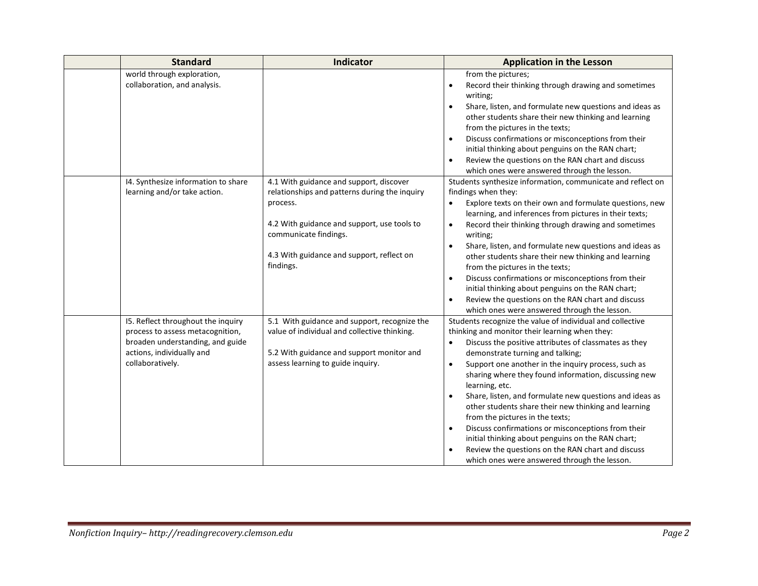| <b>Standard</b>                                                                                                                                             | Indicator                                                                                                                                                                                                                              | <b>Application in the Lesson</b>                                                                                                                                                                                                                                                                                                                                                                                                                                                                                                                                                                                                                                                                                                                                    |
|-------------------------------------------------------------------------------------------------------------------------------------------------------------|----------------------------------------------------------------------------------------------------------------------------------------------------------------------------------------------------------------------------------------|---------------------------------------------------------------------------------------------------------------------------------------------------------------------------------------------------------------------------------------------------------------------------------------------------------------------------------------------------------------------------------------------------------------------------------------------------------------------------------------------------------------------------------------------------------------------------------------------------------------------------------------------------------------------------------------------------------------------------------------------------------------------|
| world through exploration,<br>collaboration, and analysis.                                                                                                  |                                                                                                                                                                                                                                        | from the pictures;<br>Record their thinking through drawing and sometimes<br>$\bullet$<br>writing;<br>Share, listen, and formulate new questions and ideas as<br>$\bullet$<br>other students share their new thinking and learning<br>from the pictures in the texts;<br>Discuss confirmations or misconceptions from their<br>$\bullet$<br>initial thinking about penguins on the RAN chart;<br>Review the questions on the RAN chart and discuss<br>$\bullet$<br>which ones were answered through the lesson.                                                                                                                                                                                                                                                     |
| 14. Synthesize information to share<br>learning and/or take action.                                                                                         | 4.1 With guidance and support, discover<br>relationships and patterns during the inquiry<br>process.<br>4.2 With guidance and support, use tools to<br>communicate findings.<br>4.3 With guidance and support, reflect on<br>findings. | Students synthesize information, communicate and reflect on<br>findings when they:<br>Explore texts on their own and formulate questions, new<br>learning, and inferences from pictures in their texts;<br>Record their thinking through drawing and sometimes<br>$\bullet$<br>writing;<br>Share, listen, and formulate new questions and ideas as<br>other students share their new thinking and learning<br>from the pictures in the texts;<br>Discuss confirmations or misconceptions from their<br>$\bullet$<br>initial thinking about penguins on the RAN chart;<br>Review the questions on the RAN chart and discuss<br>$\bullet$<br>which ones were answered through the lesson.                                                                             |
| 15. Reflect throughout the inquiry<br>process to assess metacognition,<br>broaden understanding, and guide<br>actions, individually and<br>collaboratively. | 5.1 With guidance and support, recognize the<br>value of individual and collective thinking.<br>5.2 With guidance and support monitor and<br>assess learning to guide inquiry.                                                         | Students recognize the value of individual and collective<br>thinking and monitor their learning when they:<br>Discuss the positive attributes of classmates as they<br>$\bullet$<br>demonstrate turning and talking;<br>Support one another in the inquiry process, such as<br>$\bullet$<br>sharing where they found information, discussing new<br>learning, etc.<br>Share, listen, and formulate new questions and ideas as<br>$\bullet$<br>other students share their new thinking and learning<br>from the pictures in the texts;<br>Discuss confirmations or misconceptions from their<br>$\bullet$<br>initial thinking about penguins on the RAN chart;<br>Review the questions on the RAN chart and discuss<br>which ones were answered through the lesson. |

÷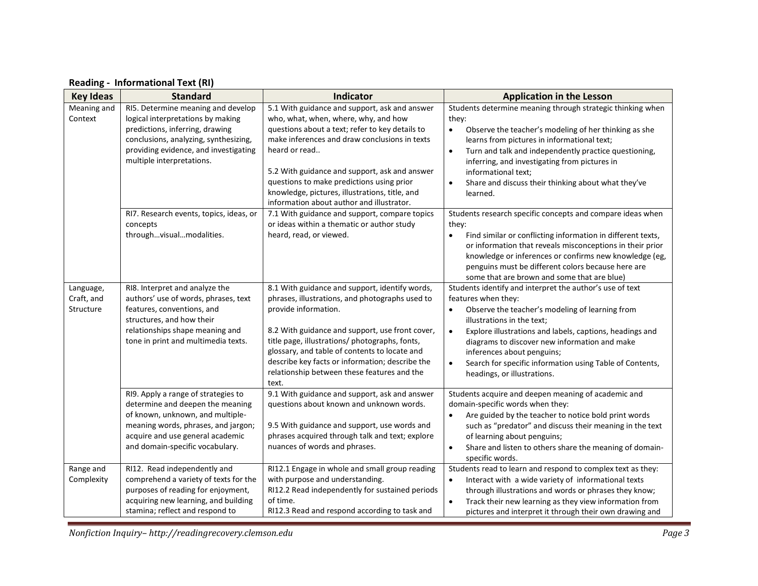| <b>Key Ideas</b>                     | <b>Standard</b>                                                                                                                                                                                                           | Indicator                                                                                                                                                                                                                                                                                                                                                                                               | <b>Application in the Lesson</b>                                                                                                                                                                                                                                                                                                                                                                                                              |
|--------------------------------------|---------------------------------------------------------------------------------------------------------------------------------------------------------------------------------------------------------------------------|---------------------------------------------------------------------------------------------------------------------------------------------------------------------------------------------------------------------------------------------------------------------------------------------------------------------------------------------------------------------------------------------------------|-----------------------------------------------------------------------------------------------------------------------------------------------------------------------------------------------------------------------------------------------------------------------------------------------------------------------------------------------------------------------------------------------------------------------------------------------|
| Meaning and<br>Context               | RI5. Determine meaning and develop<br>logical interpretations by making<br>predictions, inferring, drawing<br>conclusions, analyzing, synthesizing,<br>providing evidence, and investigating<br>multiple interpretations. | 5.1 With guidance and support, ask and answer<br>who, what, when, where, why, and how<br>questions about a text; refer to key details to<br>make inferences and draw conclusions in texts<br>heard or read<br>5.2 With guidance and support, ask and answer<br>questions to make predictions using prior<br>knowledge, pictures, illustrations, title, and<br>information about author and illustrator. | Students determine meaning through strategic thinking when<br>they:<br>Observe the teacher's modeling of her thinking as she<br>$\bullet$<br>learns from pictures in informational text;<br>Turn and talk and independently practice questioning,<br>$\bullet$<br>inferring, and investigating from pictures in<br>informational text;<br>Share and discuss their thinking about what they've<br>$\bullet$<br>learned.                        |
|                                      | RI7. Research events, topics, ideas, or<br>concepts<br>throughvisualmodalities.                                                                                                                                           | 7.1 With guidance and support, compare topics<br>or ideas within a thematic or author study<br>heard, read, or viewed.                                                                                                                                                                                                                                                                                  | Students research specific concepts and compare ideas when<br>they:<br>Find similar or conflicting information in different texts,<br>$\bullet$<br>or information that reveals misconceptions in their prior<br>knowledge or inferences or confirms new knowledge (eg,<br>penguins must be different colors because here are<br>some that are brown and some that are blue)                                                                   |
| Language,<br>Craft, and<br>Structure | RI8. Interpret and analyze the<br>authors' use of words, phrases, text<br>features, conventions, and<br>structures, and how their<br>relationships shape meaning and<br>tone in print and multimedia texts.               | 8.1 With guidance and support, identify words,<br>phrases, illustrations, and photographs used to<br>provide information.<br>8.2 With guidance and support, use front cover,<br>title page, illustrations/ photographs, fonts,<br>glossary, and table of contents to locate and<br>describe key facts or information; describe the<br>relationship between these features and the<br>text.              | Students identify and interpret the author's use of text<br>features when they:<br>Observe the teacher's modeling of learning from<br>$\bullet$<br>illustrations in the text;<br>Explore illustrations and labels, captions, headings and<br>$\bullet$<br>diagrams to discover new information and make<br>inferences about penguins;<br>Search for specific information using Table of Contents,<br>$\bullet$<br>headings, or illustrations. |
|                                      | RI9. Apply a range of strategies to<br>determine and deepen the meaning<br>of known, unknown, and multiple-<br>meaning words, phrases, and jargon;<br>acquire and use general academic<br>and domain-specific vocabulary. | 9.1 With guidance and support, ask and answer<br>questions about known and unknown words.<br>9.5 With guidance and support, use words and<br>phrases acquired through talk and text; explore<br>nuances of words and phrases.                                                                                                                                                                           | Students acquire and deepen meaning of academic and<br>domain-specific words when they:<br>Are guided by the teacher to notice bold print words<br>such as "predator" and discuss their meaning in the text<br>of learning about penguins;<br>Share and listen to others share the meaning of domain-<br>$\bullet$<br>specific words.                                                                                                         |
| Range and<br>Complexity              | RI12. Read independently and<br>comprehend a variety of texts for the<br>purposes of reading for enjoyment,<br>acquiring new learning, and building<br>stamina; reflect and respond to                                    | RI12.1 Engage in whole and small group reading<br>with purpose and understanding.<br>RI12.2 Read independently for sustained periods<br>of time.<br>RI12.3 Read and respond according to task and                                                                                                                                                                                                       | Students read to learn and respond to complex text as they:<br>Interact with a wide variety of informational texts<br>$\bullet$<br>through illustrations and words or phrases they know;<br>Track their new learning as they view information from<br>$\bullet$<br>pictures and interpret it through their own drawing and                                                                                                                    |

### **Reading - Informational Text (RI)**

*Nonfiction Inquiry– http://readingrecovery.clemson.edu Page 3*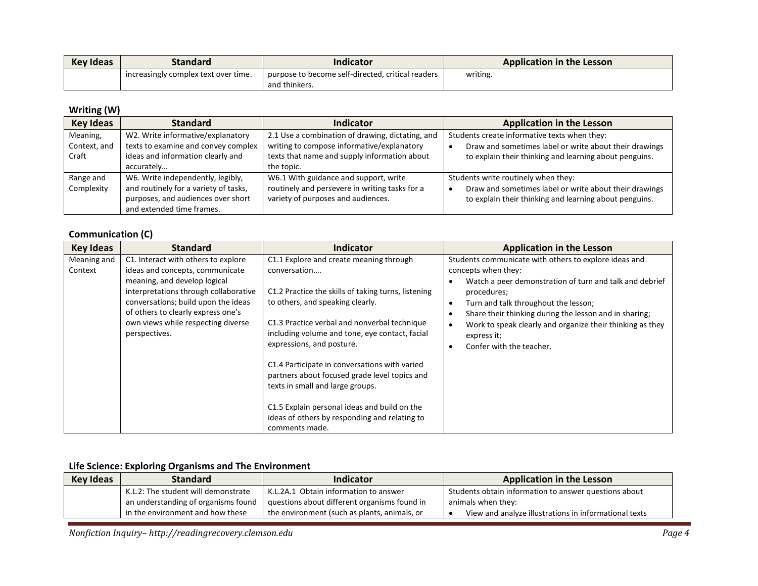| <b>Key Ideas</b> | Standard                             | Indicator                                         | <b>Application in the Lesson</b> |
|------------------|--------------------------------------|---------------------------------------------------|----------------------------------|
|                  | increasingly complex text over time. | purpose to become self-directed, critical readers | writing.                         |
|                  |                                      | and thinkers.                                     |                                  |

### **Writing (W)**

| <b>Key Ideas</b> | <b>Standard</b>                       | <b>Indicator</b>                                 | <b>Application in the Lesson</b>                       |
|------------------|---------------------------------------|--------------------------------------------------|--------------------------------------------------------|
| Meaning,         | W2. Write informative/explanatory     | 2.1 Use a combination of drawing, dictating, and | Students create informative texts when they:           |
| Context, and     | texts to examine and convey complex   | writing to compose informative/explanatory       | Draw and sometimes label or write about their drawings |
| Craft            | ideas and information clearly and     | texts that name and supply information about     | to explain their thinking and learning about penguins. |
|                  | accurately                            | the topic.                                       |                                                        |
| Range and        | W6. Write independently, legibly,     | W6.1 With guidance and support, write            | Students write routinely when they:                    |
| Complexity       | and routinely for a variety of tasks, | routinely and persevere in writing tasks for a   | Draw and sometimes label or write about their drawings |
|                  | purposes, and audiences over short    | variety of purposes and audiences.               | to explain their thinking and learning about penguins. |
|                  | and extended time frames.             |                                                  |                                                        |

#### **Communication (C)**

| <b>Key Ideas</b>       | <b>Standard</b>                                                                                                                                                                                                                                                                     | <b>Indicator</b>                                                                                                                                                                                                                                                                                                                                                                                                                                                                                                                           | <b>Application in the Lesson</b>                                                                                                                                                                                                                                                                                                                                 |
|------------------------|-------------------------------------------------------------------------------------------------------------------------------------------------------------------------------------------------------------------------------------------------------------------------------------|--------------------------------------------------------------------------------------------------------------------------------------------------------------------------------------------------------------------------------------------------------------------------------------------------------------------------------------------------------------------------------------------------------------------------------------------------------------------------------------------------------------------------------------------|------------------------------------------------------------------------------------------------------------------------------------------------------------------------------------------------------------------------------------------------------------------------------------------------------------------------------------------------------------------|
| Meaning and<br>Context | C1. Interact with others to explore<br>ideas and concepts, communicate<br>meaning, and develop logical<br>interpretations through collaborative<br>conversations; build upon the ideas<br>of others to clearly express one's<br>own views while respecting diverse<br>perspectives. | C1.1 Explore and create meaning through<br>conversation<br>C1.2 Practice the skills of taking turns, listening<br>to others, and speaking clearly.<br>C1.3 Practice verbal and nonverbal technique<br>including volume and tone, eye contact, facial<br>expressions, and posture.<br>C1.4 Participate in conversations with varied<br>partners about focused grade level topics and<br>texts in small and large groups.<br>C1.5 Explain personal ideas and build on the<br>ideas of others by responding and relating to<br>comments made. | Students communicate with others to explore ideas and<br>concepts when they:<br>Watch a peer demonstration of turn and talk and debrief<br>procedures;<br>Turn and talk throughout the lesson;<br>Share their thinking during the lesson and in sharing;<br>Work to speak clearly and organize their thinking as they<br>express it;<br>Confer with the teacher. |

### **Life Science: Exploring Organisms and The Environment**

| Key Ideas | <b>Standard</b>                     | Indicator                                    | Application in the Lesson                             |
|-----------|-------------------------------------|----------------------------------------------|-------------------------------------------------------|
|           | K.L.2: The student will demonstrate | K.L.2A.1 Obtain information to answer        | Students obtain information to answer questions about |
|           | an understanding of organisms found | questions about different organisms found in | animals when they:                                    |
|           | in the environment and how these    | the environment (such as plants, animals, or | View and analyze illustrations in informational texts |

*Nonfiction Inquiry– http://readingrecovery.clemson.edu Page 4*